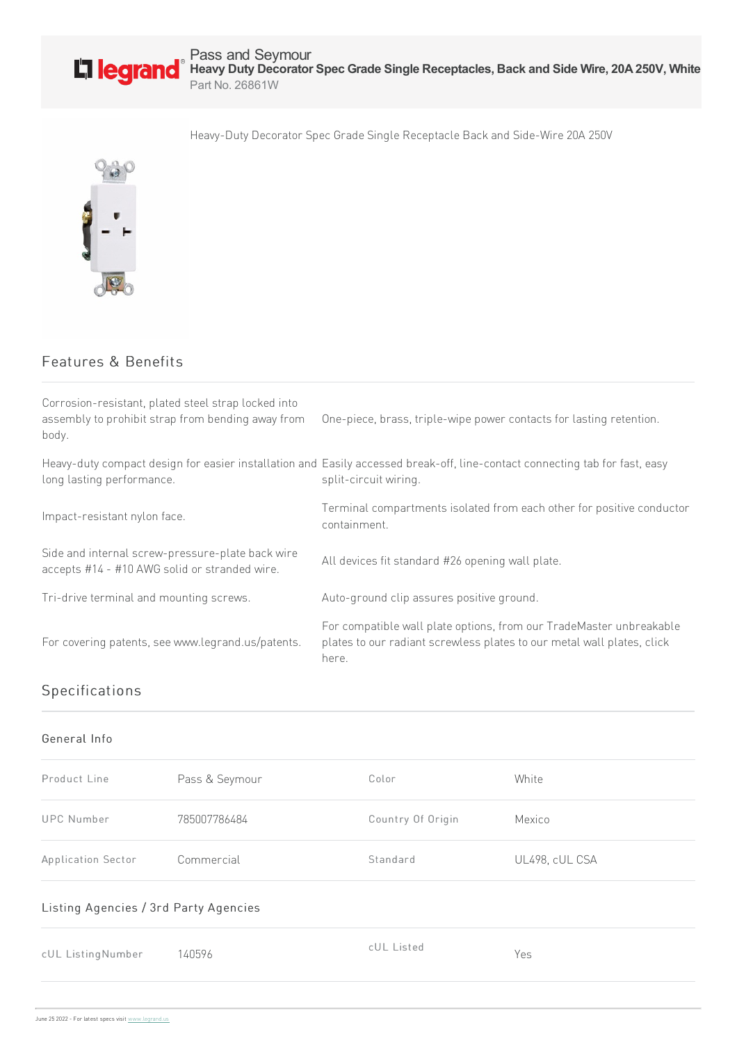

Pass and Seymour **Heavy Duty Decorator Spec Grade Single Receptacles, Back and Side Wire, 20A250V, White** Part No. 26861W

Heavy-Duty Decorator Spec Grade Single Receptacle Back and Side-Wire 20A 250V



## Features & Benefits

| Corrosion-resistant, plated steel strap locked into<br>assembly to prohibit strap from bending away from<br>body. | One-piece, brass, triple-wipe power contacts for lasting retention.                                                                                    |
|-------------------------------------------------------------------------------------------------------------------|--------------------------------------------------------------------------------------------------------------------------------------------------------|
| long lasting performance.                                                                                         | Heavy-duty compact design for easier installation and Easily accessed break-off, line-contact connecting tab for fast, easy<br>split-circuit wiring.   |
| Impact-resistant nylon face.                                                                                      | Terminal compartments isolated from each other for positive conductor<br>containment.                                                                  |
| Side and internal screw-pressure-plate back wire<br>accepts #14 - #10 AWG solid or stranded wire.                 | All devices fit standard #26 opening wall plate.                                                                                                       |
| Tri-drive terminal and mounting screws.                                                                           | Auto-ground clip assures positive ground.                                                                                                              |
| For covering patents, see www.legrand.us/patents.                                                                 | For compatible wall plate options, from our TradeMaster unbreakable<br>plates to our radiant screwless plates to our metal wall plates, click<br>here. |

# Specifications

#### General Info

| Product Line       | Pass & Seymour | Color             | White          |
|--------------------|----------------|-------------------|----------------|
| <b>UPC Number</b>  | 785007786484   | Country Of Origin | Mexico         |
| Application Sector | Commercial     | Standard          | UL498, cUL CSA |

### Listing Agencies / 3rd Party Agencies

| cUL ListingNumber | 140596 | cUL Listed | Yes |
|-------------------|--------|------------|-----|
|                   |        |            |     |